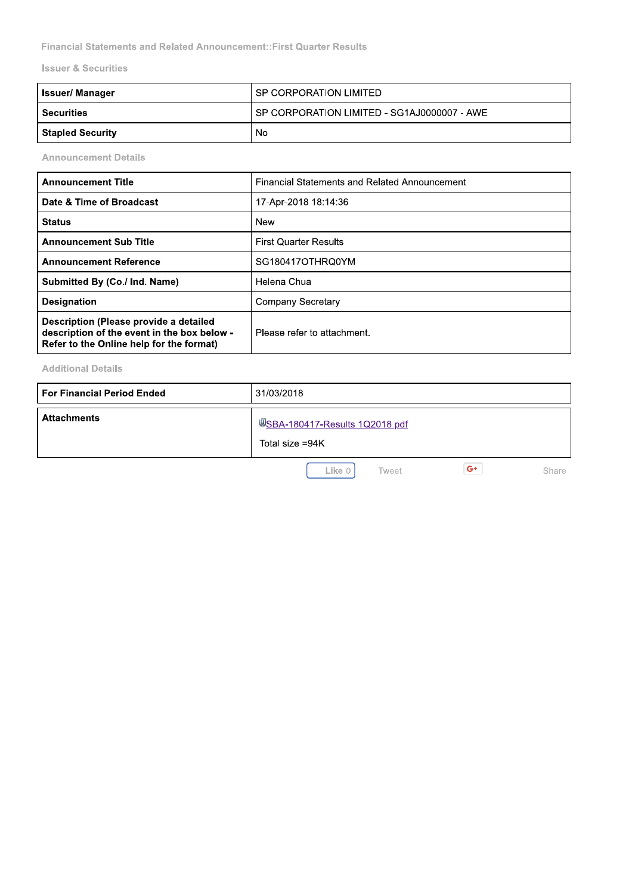| <b>Financial Statements and Related Announcement:: First Quarter Results</b> |                                                      |
|------------------------------------------------------------------------------|------------------------------------------------------|
| <b>Issuer &amp; Securities</b>                                               |                                                      |
| <b>Issuer/Manager</b>                                                        | SP CORPORATION LIMITED                               |
| <b>Securities</b>                                                            | SP CORPORATION LIMITED - SG1AJ0000007 - AWE          |
| <b>Stapled Security</b>                                                      | No.                                                  |
| <b>Announcement Details</b>                                                  |                                                      |
| <b>Announcement Title</b>                                                    | <b>Financial Statements and Related Announcement</b> |
| Date & Time of Broadcast                                                     | 17-Apr-2018 18:14:36                                 |

| <b>Announcement Title</b>                                                                                                         | <b>Financial Statements and Related Announcement</b> |
|-----------------------------------------------------------------------------------------------------------------------------------|------------------------------------------------------|
| Date & Time of Broadcast                                                                                                          | 17-Apr-2018 18:14:36                                 |
| <b>Status</b>                                                                                                                     | New                                                  |
| <b>Announcement Sub Title</b>                                                                                                     | <b>First Quarter Results</b>                         |
| <b>Announcement Reference</b>                                                                                                     | SG180417OTHRQ0YM                                     |
| Submitted By (Co./ Ind. Name)                                                                                                     | Helena Chua                                          |
| <b>Designation</b>                                                                                                                | <b>Company Secretary</b>                             |
| Description (Please provide a detailed<br>description of the event in the box below -<br>Refer to the Online help for the format) | Please refer to attachment.                          |

**Additional Details** 

| <b>For Financial Period Ended</b> | 31/03/2018                                               |  |  |  |
|-----------------------------------|----------------------------------------------------------|--|--|--|
| <b>Attachments</b>                | <b>WSBA-180417-Results 1Q2018.pdf</b><br>Total size =94K |  |  |  |
|                                   | $G+$<br>Like 0<br>Share<br>Tweet                         |  |  |  |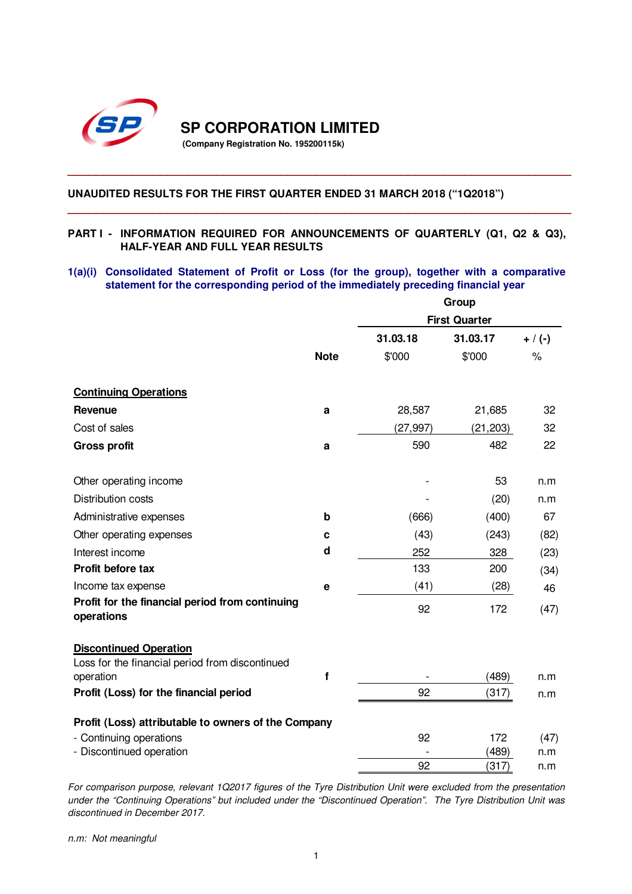

**SP CORPORATION LIMITED** 

**(Company Registration No. 195200115k)** 

## **UNAUDITED RESULTS FOR THE FIRST QUARTER ENDED 31 MARCH 2018 ("1Q2018")**

## **PART I - INFORMATION REQUIRED FOR ANNOUNCEMENTS OF QUARTERLY (Q1, Q2 & Q3), HALF-YEAR AND FULL YEAR RESULTS**

**\_\_\_\_\_\_\_\_\_\_\_\_\_\_\_\_\_\_\_\_\_\_\_\_\_\_\_\_\_\_\_\_\_\_\_\_\_\_\_\_\_\_\_\_\_\_\_\_\_\_\_\_\_\_\_\_\_\_\_\_\_\_\_\_\_\_\_\_\_\_\_** 

**\_\_\_\_\_\_\_\_\_\_\_\_\_\_\_\_\_\_\_\_\_\_\_\_\_\_\_\_\_\_\_\_\_\_\_\_\_\_\_\_\_\_\_\_\_\_\_\_\_\_\_\_\_\_\_\_\_\_\_\_\_\_\_\_\_\_\_\_\_\_\_**

## **1(a)(i) Consolidated Statement of Profit or Loss (for the group), together with a comparative statement for the corresponding period of the immediately preceding financial year**

|                                                               |             | Group                |           |           |  |
|---------------------------------------------------------------|-------------|----------------------|-----------|-----------|--|
|                                                               |             | <b>First Quarter</b> |           |           |  |
|                                                               |             | 31.03.18             | 31.03.17  | $+ / (-)$ |  |
|                                                               | <b>Note</b> | \$'000               | \$'000    | $\%$      |  |
| <b>Continuing Operations</b>                                  |             |                      |           |           |  |
| <b>Revenue</b>                                                | a           | 28,587               | 21,685    | 32        |  |
| Cost of sales                                                 |             | (27, 997)            | (21, 203) | 32        |  |
| <b>Gross profit</b>                                           | a           | 590                  | 482       | 22        |  |
| Other operating income                                        |             |                      | 53        | n.m       |  |
| <b>Distribution costs</b>                                     |             |                      | (20)      | n.m       |  |
| Administrative expenses                                       | b           | (666)                | (400)     | 67        |  |
| Other operating expenses                                      | c           | (43)                 | (243)     | (82)      |  |
| Interest income                                               | d           | 252                  | 328       | (23)      |  |
| Profit before tax                                             |             | 133                  | 200       | (34)      |  |
| Income tax expense                                            | e           | (41)                 | (28)      | 46        |  |
| Profit for the financial period from continuing<br>operations |             | 92                   | 172       | (47)      |  |
| <b>Discontinued Operation</b>                                 |             |                      |           |           |  |
| Loss for the financial period from discontinued<br>operation  | f           |                      | (489)     | n.m       |  |
| Profit (Loss) for the financial period                        |             | 92                   | (317)     |           |  |
|                                                               |             |                      |           | n.m       |  |
| Profit (Loss) attributable to owners of the Company           |             |                      |           |           |  |
| - Continuing operations                                       |             | 92                   | 172       | (47)      |  |
| - Discontinued operation                                      |             |                      | (489)     | n.m       |  |
|                                                               |             | 92                   | (317)     | n.m       |  |

For comparison purpose, relevant 1Q2017 figures of the Tyre Distribution Unit were excluded from the presentation under the "Continuing Operations" but included under the "Discontinued Operation". The Tyre Distribution Unit was discontinued in December 2017.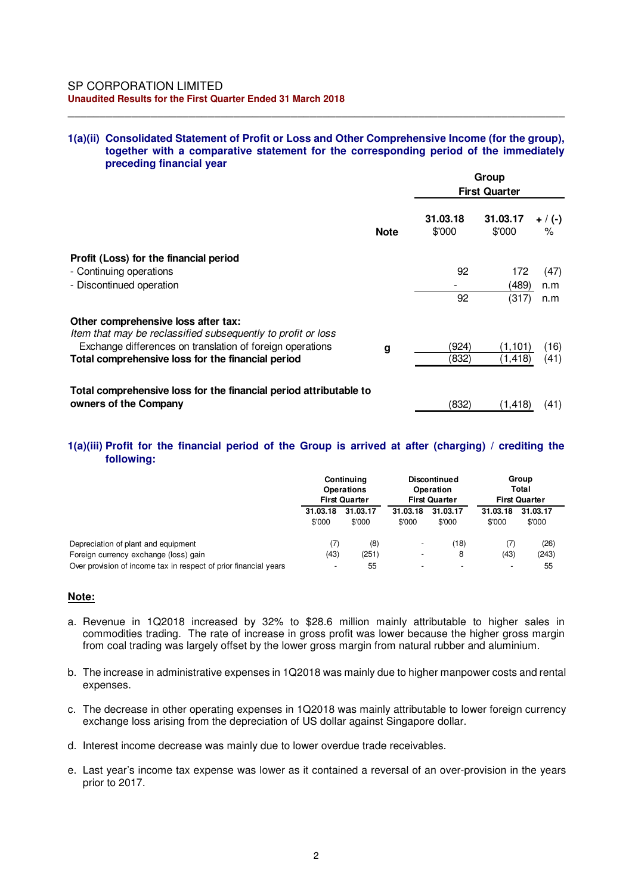### **1(a)(ii) Consolidated Statement of Profit or Loss and Other Comprehensive Income (for the group), together with a comparative statement for the corresponding period of the immediately preceding financial year**

\_\_\_\_\_\_\_\_\_\_\_\_\_\_\_\_\_\_\_\_\_\_\_\_\_\_\_\_\_\_\_\_\_\_\_\_\_\_\_\_\_\_\_\_\_\_\_\_\_\_\_\_\_\_\_\_\_\_\_\_\_\_\_\_\_\_\_\_\_\_\_\_\_\_\_\_\_\_

|                                                                                                     |             | Group<br><b>First Quarter</b> |                    |                   |  |
|-----------------------------------------------------------------------------------------------------|-------------|-------------------------------|--------------------|-------------------|--|
|                                                                                                     | <b>Note</b> | 31.03.18<br>\$'000            | 31.03.17<br>\$'000 | $+ / (-)$<br>$\%$ |  |
| Profit (Loss) for the financial period                                                              |             |                               |                    |                   |  |
| - Continuing operations                                                                             |             | 92                            | 172                | (47)              |  |
| - Discontinued operation                                                                            |             |                               | (489)              | n.m               |  |
|                                                                                                     |             | 92                            | (317)              | n.m               |  |
| Other comprehensive loss after tax:<br>Item that may be reclassified subsequently to profit or loss |             |                               |                    |                   |  |
| Exchange differences on translation of foreign operations                                           | g           | (924)                         | (1,101)            | (16)              |  |
| Total comprehensive loss for the financial period                                                   |             | (832)                         | (1,418)            | (41)              |  |
| Total comprehensive loss for the financial period attributable to                                   |             |                               |                    |                   |  |
| owners of the Company                                                                               |             | (832)                         | (1, 418)           | (41)              |  |

## **1(a)(iii) Profit for the financial period of the Group is arrived at after (charging) / crediting the following:**

|                                                                  | Continuing<br><b>Operations</b><br><b>First Quarter</b> |          | <b>Discontinued</b><br>Operation<br><b>First Quarter</b> |          | Group<br>Total<br><b>First Quarter</b> |          |  |
|------------------------------------------------------------------|---------------------------------------------------------|----------|----------------------------------------------------------|----------|----------------------------------------|----------|--|
|                                                                  | 31.03.18                                                | 31.03.17 | 31.03.18                                                 | 31.03.17 | 31.03.18                               | 31.03.17 |  |
|                                                                  | \$'000                                                  | \$'000   | \$'000                                                   | \$'000   | \$'000                                 | \$'000   |  |
| Depreciation of plant and equipment                              | (7)                                                     | (8)      | $\overline{\phantom{a}}$                                 | (18)     | (7)                                    | (26)     |  |
| Foreign currency exchange (loss) gain                            | (43)                                                    | (251)    | $\overline{\phantom{a}}$                                 | 8        | (43)                                   | (243)    |  |
| Over provision of income tax in respect of prior financial years | $\overline{\phantom{a}}$                                | 55       |                                                          |          |                                        | 55       |  |

### **Note:**

- a. Revenue in 1Q2018 increased by 32% to \$28.6 million mainly attributable to higher sales in commodities trading. The rate of increase in gross profit was lower because the higher gross margin from coal trading was largely offset by the lower gross margin from natural rubber and aluminium.
- b. The increase in administrative expenses in 1Q2018 was mainly due to higher manpower costs and rental expenses.
- c. The decrease in other operating expenses in 1Q2018 was mainly attributable to lower foreign currency exchange loss arising from the depreciation of US dollar against Singapore dollar.
- d. Interest income decrease was mainly due to lower overdue trade receivables.
- e. Last year's income tax expense was lower as it contained a reversal of an over-provision in the years prior to 2017.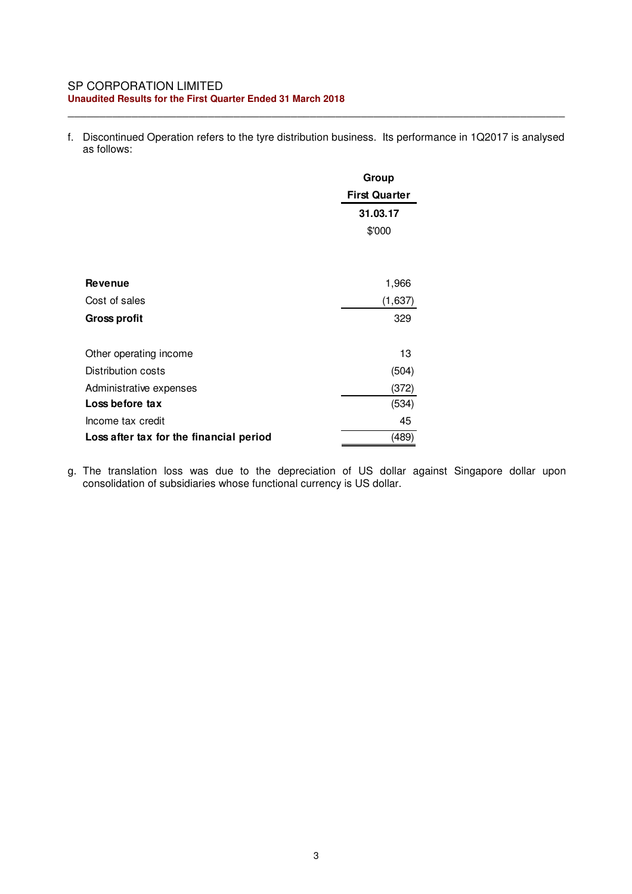#### SP CORPORATION LIMITED **Unaudited Results for the First Quarter Ended 31 March 2018**

f. Discontinued Operation refers to the tyre distribution business. Its performance in 1Q2017 is analysed as follows:

\_\_\_\_\_\_\_\_\_\_\_\_\_\_\_\_\_\_\_\_\_\_\_\_\_\_\_\_\_\_\_\_\_\_\_\_\_\_\_\_\_\_\_\_\_\_\_\_\_\_\_\_\_\_\_\_\_\_\_\_\_\_\_\_\_\_\_\_\_\_\_\_\_\_\_\_\_\_

|                                         | Group                |
|-----------------------------------------|----------------------|
|                                         | <b>First Quarter</b> |
|                                         | 31.03.17             |
|                                         | \$'000               |
|                                         |                      |
|                                         |                      |
| <b>Revenue</b>                          | 1,966                |
| Cost of sales                           | (1,637)              |
| <b>Gross profit</b>                     | 329                  |
|                                         |                      |
| Other operating income                  | 13                   |
| Distribution costs                      | (504)                |
| Administrative expenses                 | (372)                |
| Loss before tax                         | (534)                |
| Income tax credit                       | 45                   |
| Loss after tax for the financial period | (489)                |

g. The translation loss was due to the depreciation of US dollar against Singapore dollar upon consolidation of subsidiaries whose functional currency is US dollar.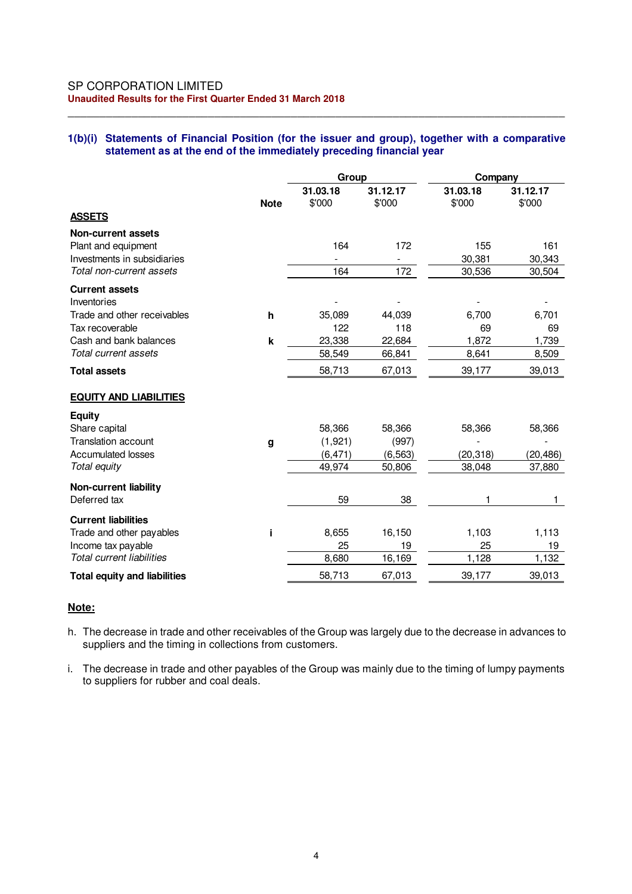#### SP CORPORATION LIMITED **Unaudited Results for the First Quarter Ended 31 March 2018**

### **1(b)(i) Statements of Financial Position (for the issuer and group), together with a comparative statement as at the end of the immediately preceding financial year**

\_\_\_\_\_\_\_\_\_\_\_\_\_\_\_\_\_\_\_\_\_\_\_\_\_\_\_\_\_\_\_\_\_\_\_\_\_\_\_\_\_\_\_\_\_\_\_\_\_\_\_\_\_\_\_\_\_\_\_\_\_\_\_\_\_\_\_\_\_\_\_\_\_\_\_\_\_\_

|                                                                                                             | Group              |                    | Company            |                         |                         |
|-------------------------------------------------------------------------------------------------------------|--------------------|--------------------|--------------------|-------------------------|-------------------------|
|                                                                                                             | <b>Note</b>        | 31.03.18<br>\$'000 | 31.12.17<br>\$'000 | 31.03.18<br>\$'000      | 31.12.17<br>\$'000      |
| <b>ASSETS</b>                                                                                               |                    |                    |                    |                         |                         |
| <b>Non-current assets</b><br>Plant and equipment<br>Investments in subsidiaries<br>Total non-current assets |                    | 164<br>164         | 172<br>172         | 155<br>30,381<br>30,536 | 161<br>30,343<br>30,504 |
|                                                                                                             |                    |                    |                    |                         |                         |
| <b>Current assets</b><br>Inventories<br>Trade and other receivables                                         | h                  | 35,089             | 44,039             | 6,700                   | 6,701                   |
| Tax recoverable                                                                                             |                    | 122                | 118                | 69                      | 69                      |
| Cash and bank balances<br>Total current assets                                                              | $\pmb{\mathsf{k}}$ | 23,338             | 22,684             | 1,872                   | 1,739                   |
| <b>Total assets</b>                                                                                         |                    | 58,549<br>58,713   | 66,841<br>67,013   | 8,641<br>39,177         | 8,509<br>39,013         |
| <b>EQUITY AND LIABILITIES</b>                                                                               |                    |                    |                    |                         |                         |
| <b>Equity</b><br>Share capital<br><b>Translation account</b>                                                | g                  | 58,366<br>(1,921)  | 58,366<br>(997)    | 58,366                  | 58,366                  |
| <b>Accumulated losses</b>                                                                                   |                    | (6, 471)           | (6, 563)           | (20,318)                | (20,486)                |
| Total equity                                                                                                |                    | 49,974             | 50,806             | 38,048                  | 37,880                  |
| <b>Non-current liability</b><br>Deferred tax                                                                |                    | 59                 | 38                 |                         |                         |
| <b>Current liabilities</b><br>Trade and other payables<br>Income tax payable                                | j.                 | 8,655<br>25        | 16,150<br>19       | 1,103<br>25             | 1,113<br>19             |
| <b>Total current liabilities</b>                                                                            |                    | 8,680              | 16,169             | 1,128                   | 1,132                   |
| <b>Total equity and liabilities</b>                                                                         |                    | 58,713             | 67,013             | 39,177                  | 39,013                  |

#### **Note:**

- h. The decrease in trade and other receivables of the Group was largely due to the decrease in advances to suppliers and the timing in collections from customers.
- i. The decrease in trade and other payables of the Group was mainly due to the timing of lumpy payments to suppliers for rubber and coal deals.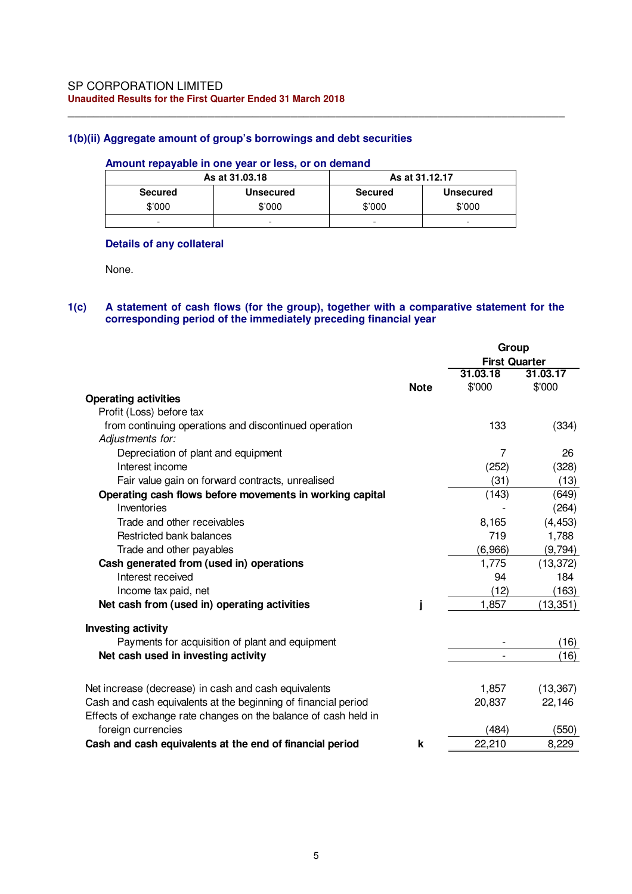## **1(b)(ii) Aggregate amount of group's borrowings and debt securities**

#### **Amount repayable in one year or less, or on demand**

| As at 31,03,18 |           | As at 31.12.17 |                  |  |
|----------------|-----------|----------------|------------------|--|
| <b>Secured</b> | Unsecured | <b>Secured</b> | <b>Unsecured</b> |  |
| \$'000         | \$'000    | \$'000         | \$'000           |  |
| -              | -         | ۰              | -                |  |

\_\_\_\_\_\_\_\_\_\_\_\_\_\_\_\_\_\_\_\_\_\_\_\_\_\_\_\_\_\_\_\_\_\_\_\_\_\_\_\_\_\_\_\_\_\_\_\_\_\_\_\_\_\_\_\_\_\_\_\_\_\_\_\_\_\_\_\_\_\_\_\_\_\_\_\_\_\_

## **Details of any collateral**

None.

### **1(c) A statement of cash flows (for the group), together with a comparative statement for the corresponding period of the immediately preceding financial year**

|                                                                                       |             | Group                |           |
|---------------------------------------------------------------------------------------|-------------|----------------------|-----------|
|                                                                                       |             | <b>First Quarter</b> |           |
|                                                                                       |             | 31.03.18             | 31.03.17  |
|                                                                                       | <b>Note</b> | \$'000               | \$'000    |
| <b>Operating activities</b>                                                           |             |                      |           |
| Profit (Loss) before tax                                                              |             |                      |           |
| from continuing operations and discontinued operation                                 |             | 133                  | (334)     |
| Adjustments for:                                                                      |             |                      |           |
| Depreciation of plant and equipment                                                   |             | 7                    | 26        |
| Interest income                                                                       |             | (252)                | (328)     |
| Fair value gain on forward contracts, unrealised                                      |             | (31)                 | (13)      |
| Operating cash flows before movements in working capital                              |             | (143)                | (649)     |
| Inventories                                                                           |             |                      | (264)     |
| Trade and other receivables                                                           |             | 8,165                | (4, 453)  |
| Restricted bank balances                                                              |             | 719                  | 1,788     |
| Trade and other payables                                                              |             | (6,966)              | (9,794)   |
| Cash generated from (used in) operations                                              |             | 1,775                | (13, 372) |
| Interest received                                                                     |             | 94                   | 184       |
| Income tax paid, net                                                                  |             | (12)                 | (163)     |
| Net cash from (used in) operating activities                                          |             | 1,857                | (13, 351) |
| <b>Investing activity</b>                                                             |             |                      |           |
| Payments for acquisition of plant and equipment                                       |             |                      | (16)      |
| Net cash used in investing activity                                                   |             |                      | (16)      |
|                                                                                       |             |                      |           |
| Net increase (decrease) in cash and cash equivalents                                  |             | 1,857                | (13, 367) |
| Cash and cash equivalents at the beginning of financial period                        |             | 20,837               | 22,146    |
| Effects of exchange rate changes on the balance of cash held in<br>foreign currencies |             | (484)                | (550)     |
| Cash and cash equivalents at the end of financial period                              | k           | 22,210               | 8,229     |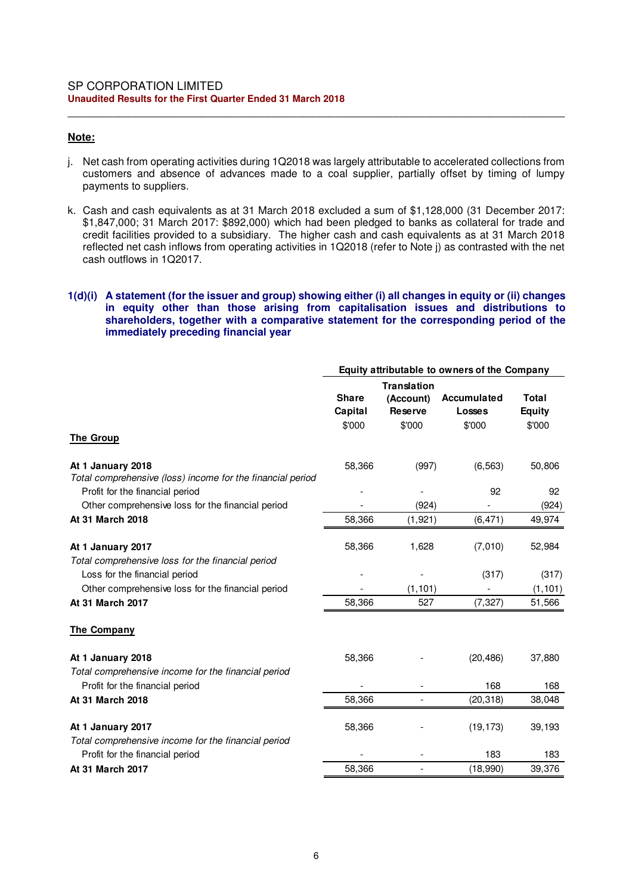### **Note:**

j. Net cash from operating activities during 1Q2018 was largely attributable to accelerated collections from customers and absence of advances made to a coal supplier, partially offset by timing of lumpy payments to suppliers.

\_\_\_\_\_\_\_\_\_\_\_\_\_\_\_\_\_\_\_\_\_\_\_\_\_\_\_\_\_\_\_\_\_\_\_\_\_\_\_\_\_\_\_\_\_\_\_\_\_\_\_\_\_\_\_\_\_\_\_\_\_\_\_\_\_\_\_\_\_\_\_\_\_\_\_\_\_\_

k. Cash and cash equivalents as at 31 March 2018 excluded a sum of \$1,128,000 (31 December 2017: \$1,847,000; 31 March 2017: \$892,000) which had been pledged to banks as collateral for trade and credit facilities provided to a subsidiary. The higher cash and cash equivalents as at 31 March 2018 reflected net cash inflows from operating activities in 1Q2018 (refer to Note j) as contrasted with the net cash outflows in 1Q2017.

### **1(d)(i) A statement (for the issuer and group) showing either (i) all changes in equity or (ii) changes in equity other than those arising from capitalisation issues and distributions to shareholders, together with a comparative statement for the corresponding period of the immediately preceding financial year**

|                                                                                        | Equity attributable to owners of the Company |                                                             |                                        |                                         |  |
|----------------------------------------------------------------------------------------|----------------------------------------------|-------------------------------------------------------------|----------------------------------------|-----------------------------------------|--|
| <b>The Group</b>                                                                       | <b>Share</b><br>Capital<br>\$'000            | <b>Translation</b><br>(Account)<br><b>Reserve</b><br>\$'000 | Accumulated<br><b>Losses</b><br>\$'000 | <b>Total</b><br><b>Equity</b><br>\$'000 |  |
|                                                                                        |                                              |                                                             |                                        |                                         |  |
| At 1 January 2018<br>Total comprehensive (loss) income for the financial period        | 58,366                                       | (997)                                                       | (6, 563)                               | 50,806                                  |  |
| Profit for the financial period                                                        |                                              |                                                             | 92                                     | 92                                      |  |
| Other comprehensive loss for the financial period                                      |                                              | (924)                                                       |                                        | (924)                                   |  |
| At 31 March 2018                                                                       | 58,366                                       | (1, 921)                                                    | (6, 471)                               | 49,974                                  |  |
|                                                                                        |                                              | 1,628                                                       |                                        |                                         |  |
| At 1 January 2017<br>Total comprehensive loss for the financial period                 | 58,366                                       |                                                             | (7,010)                                | 52,984                                  |  |
| Loss for the financial period                                                          |                                              |                                                             | (317)                                  | (317)                                   |  |
| Other comprehensive loss for the financial period                                      |                                              | (1, 101)                                                    |                                        | (1, 101)                                |  |
| At 31 March 2017                                                                       | 58,366                                       | 527                                                         | (7, 327)                               | 51,566                                  |  |
| <b>The Company</b>                                                                     |                                              |                                                             |                                        |                                         |  |
| At 1 January 2018                                                                      | 58,366                                       |                                                             | (20, 486)                              | 37,880                                  |  |
| Total comprehensive income for the financial period<br>Profit for the financial period |                                              |                                                             | 168                                    | 168                                     |  |
| At 31 March 2018                                                                       | 58,366                                       |                                                             | (20, 318)                              | 38,048                                  |  |
| At 1 January 2017                                                                      | 58,366                                       |                                                             | (19, 173)                              | 39,193                                  |  |
| Total comprehensive income for the financial period<br>Profit for the financial period |                                              |                                                             | 183                                    | 183                                     |  |
| At 31 March 2017                                                                       | 58,366                                       | $\overline{\phantom{a}}$                                    | (18,990)                               | 39,376                                  |  |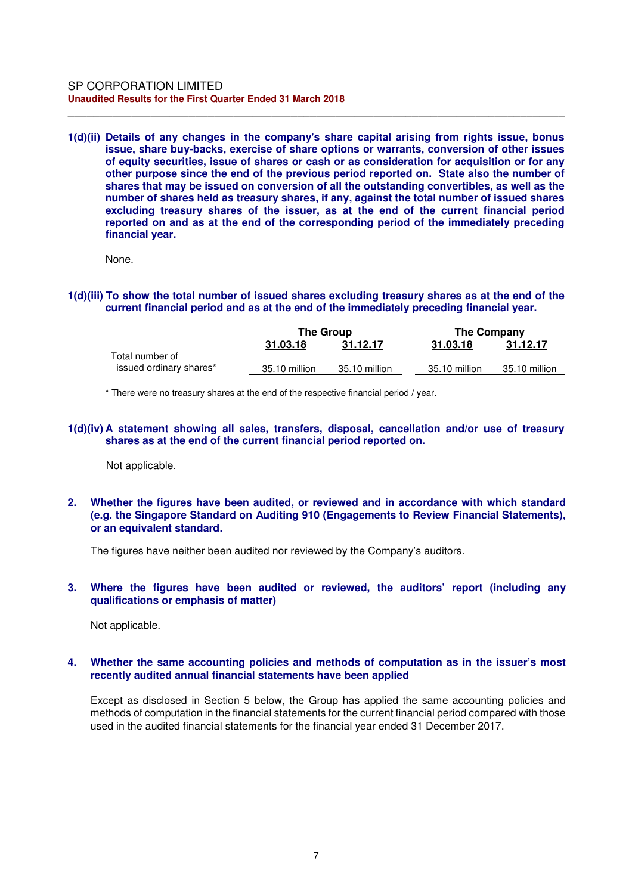#### SP CORPORATION LIMITED **Unaudited Results for the First Quarter Ended 31 March 2018**

**1(d)(ii) Details of any changes in the company's share capital arising from rights issue, bonus issue, share buy-backs, exercise of share options or warrants, conversion of other issues of equity securities, issue of shares or cash or as consideration for acquisition or for any other purpose since the end of the previous period reported on. State also the number of shares that may be issued on conversion of all the outstanding convertibles, as well as the number of shares held as treasury shares, if any, against the total number of issued shares excluding treasury shares of the issuer, as at the end of the current financial period reported on and as at the end of the corresponding period of the immediately preceding financial year.** 

\_\_\_\_\_\_\_\_\_\_\_\_\_\_\_\_\_\_\_\_\_\_\_\_\_\_\_\_\_\_\_\_\_\_\_\_\_\_\_\_\_\_\_\_\_\_\_\_\_\_\_\_\_\_\_\_\_\_\_\_\_\_\_\_\_\_\_\_\_\_\_\_\_\_\_\_\_\_

None.

**1(d)(iii) To show the total number of issued shares excluding treasury shares as at the end of the current financial period and as at the end of the immediately preceding financial year.** 

|                                            | <b>The Group</b> |               | <b>The Company</b> |               |
|--------------------------------------------|------------------|---------------|--------------------|---------------|
|                                            | 31.03.18         | 31.12.17      | 31.03.18           | 31.12.17      |
| Total number of<br>issued ordinary shares* | 35.10 million    | 35.10 million | 35.10 million      | 35.10 million |

\* There were no treasury shares at the end of the respective financial period / year.

**1(d)(iv) A statement showing all sales, transfers, disposal, cancellation and/or use of treasury shares as at the end of the current financial period reported on.** 

Not applicable.

**2. Whether the figures have been audited, or reviewed and in accordance with which standard (e.g. the Singapore Standard on Auditing 910 (Engagements to Review Financial Statements), or an equivalent standard.** 

The figures have neither been audited nor reviewed by the Company's auditors.

**3. Where the figures have been audited or reviewed, the auditors' report (including any qualifications or emphasis of matter)** 

Not applicable.

### **4. Whether the same accounting policies and methods of computation as in the issuer's most recently audited annual financial statements have been applied**

Except as disclosed in Section 5 below, the Group has applied the same accounting policies and methods of computation in the financial statements for the current financial period compared with those used in the audited financial statements for the financial year ended 31 December 2017.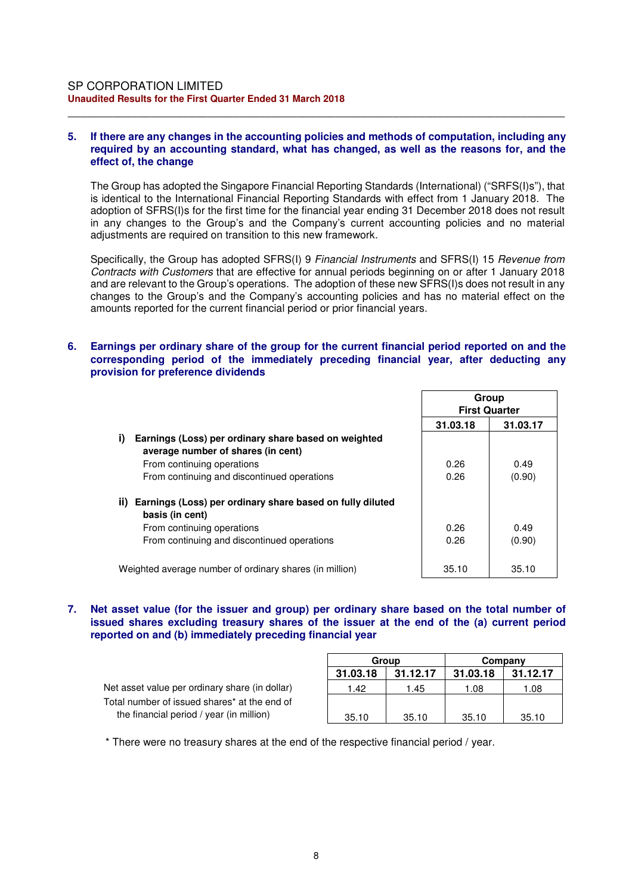### **5. If there are any changes in the accounting policies and methods of computation, including any required by an accounting standard, what has changed, as well as the reasons for, and the effect of, the change**

\_\_\_\_\_\_\_\_\_\_\_\_\_\_\_\_\_\_\_\_\_\_\_\_\_\_\_\_\_\_\_\_\_\_\_\_\_\_\_\_\_\_\_\_\_\_\_\_\_\_\_\_\_\_\_\_\_\_\_\_\_\_\_\_\_\_\_\_\_\_\_\_\_\_\_\_\_\_

The Group has adopted the Singapore Financial Reporting Standards (International) ("SRFS(I)s"), that is identical to the International Financial Reporting Standards with effect from 1 January 2018. The adoption of SFRS(I)s for the first time for the financial year ending 31 December 2018 does not result in any changes to the Group's and the Company's current accounting policies and no material adjustments are required on transition to this new framework.

Specifically, the Group has adopted SFRS(I) 9 Financial Instruments and SFRS(I) 15 Revenue from Contracts with Customers that are effective for annual periods beginning on or after 1 January 2018 and are relevant to the Group's operations. The adoption of these new SFRS(I)s does not result in any changes to the Group's and the Company's accounting policies and has no material effect on the amounts reported for the current financial period or prior financial years.

### **6. Earnings per ordinary share of the group for the current financial period reported on and the corresponding period of the immediately preceding financial year, after deducting any provision for preference dividends**

|                                                                                                  | Group<br><b>First Quarter</b> |          |
|--------------------------------------------------------------------------------------------------|-------------------------------|----------|
|                                                                                                  | 31.03.18                      | 31.03.17 |
| i)<br>Earnings (Loss) per ordinary share based on weighted<br>average number of shares (in cent) |                               |          |
| From continuing operations                                                                       | 0.26                          | 0.49     |
| From continuing and discontinued operations                                                      | 0.26                          | (0.90)   |
| ii) Earnings (Loss) per ordinary share based on fully diluted<br>basis (in cent)                 |                               |          |
| From continuing operations                                                                       | 0.26                          | 0.49     |
| From continuing and discontinued operations                                                      | 0.26                          | (0.90)   |
| Weighted average number of ordinary shares (in million)                                          | 35.10                         | 35.10    |

**7. Net asset value (for the issuer and group) per ordinary share based on the total number of issued shares excluding treasury shares of the issuer at the end of the (a) current period reported on and (b) immediately preceding financial year** 

Net asset value per ordinary share (in dollar) Total number of issued shares\* at the end of the financial period / year (in million)

|          | Group<br>Company |          |          |  |
|----------|------------------|----------|----------|--|
| 31.03.18 | 31.12.17         | 31.03.18 | 31.12.17 |  |
| 1.42     | 1.45             | 1.08     | 1.08     |  |
|          |                  |          |          |  |
| 35.10    | 35.10            | 35.10    | 35.10    |  |

\* There were no treasury shares at the end of the respective financial period / year.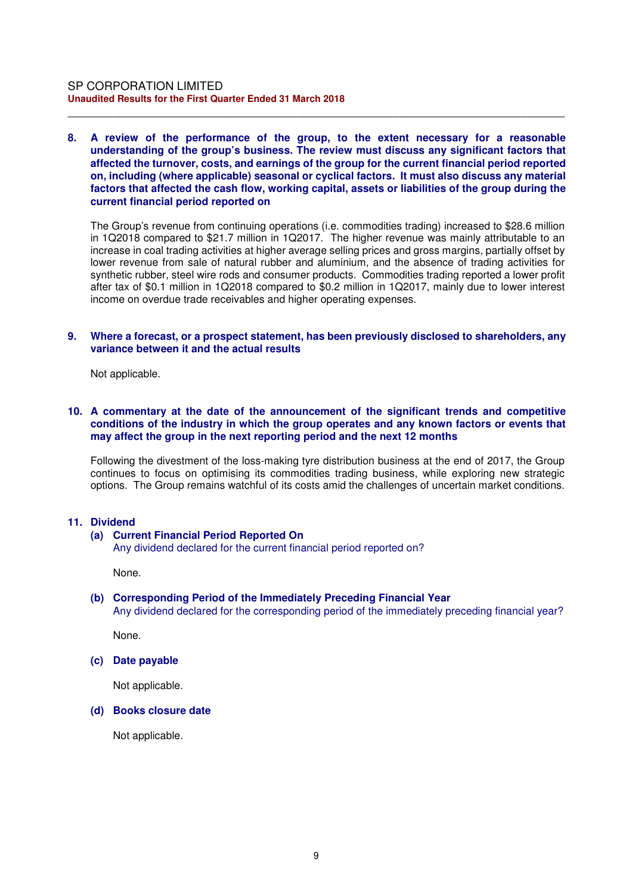### **8. A review of the performance of the group, to the extent necessary for a reasonable understanding of the group's business. The review must discuss any significant factors that affected the turnover, costs, and earnings of the group for the current financial period reported on, including (where applicable) seasonal or cyclical factors. It must also discuss any material factors that affected the cash flow, working capital, assets or liabilities of the group during the current financial period reported on**

\_\_\_\_\_\_\_\_\_\_\_\_\_\_\_\_\_\_\_\_\_\_\_\_\_\_\_\_\_\_\_\_\_\_\_\_\_\_\_\_\_\_\_\_\_\_\_\_\_\_\_\_\_\_\_\_\_\_\_\_\_\_\_\_\_\_\_\_\_\_\_\_\_\_\_\_\_\_

The Group's revenue from continuing operations (i.e. commodities trading) increased to \$28.6 million in 1Q2018 compared to \$21.7 million in 1Q2017. The higher revenue was mainly attributable to an increase in coal trading activities at higher average selling prices and gross margins, partially offset by lower revenue from sale of natural rubber and aluminium, and the absence of trading activities for synthetic rubber, steel wire rods and consumer products. Commodities trading reported a lower profit after tax of \$0.1 million in 1Q2018 compared to \$0.2 million in 1Q2017, mainly due to lower interest income on overdue trade receivables and higher operating expenses.

#### **9. Where a forecast, or a prospect statement, has been previously disclosed to shareholders, any variance between it and the actual results**

Not applicable.

### **10. A commentary at the date of the announcement of the significant trends and competitive conditions of the industry in which the group operates and any known factors or events that may affect the group in the next reporting period and the next 12 months**

Following the divestment of the loss-making tyre distribution business at the end of 2017, the Group continues to focus on optimising its commodities trading business, while exploring new strategic options. The Group remains watchful of its costs amid the challenges of uncertain market conditions.

#### **11. Dividend**

#### **(a) Current Financial Period Reported On**

Any dividend declared for the current financial period reported on?

None.

# **(b) Corresponding Period of the Immediately Preceding Financial Year**

Any dividend declared for the corresponding period of the immediately preceding financial year?

None.

### **(c) Date payable**

Not applicable.

#### **(d) Books closure date**

Not applicable.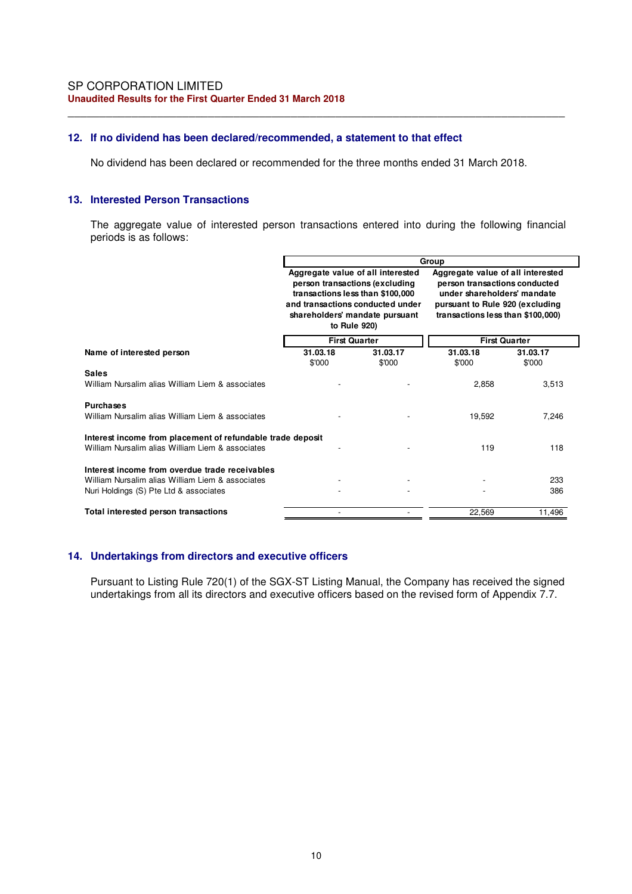## **12. If no dividend has been declared/recommended, a statement to that effect**

No dividend has been declared or recommended for the three months ended 31 March 2018.

\_\_\_\_\_\_\_\_\_\_\_\_\_\_\_\_\_\_\_\_\_\_\_\_\_\_\_\_\_\_\_\_\_\_\_\_\_\_\_\_\_\_\_\_\_\_\_\_\_\_\_\_\_\_\_\_\_\_\_\_\_\_\_\_\_\_\_\_\_\_\_\_\_\_\_\_\_\_

#### **13. Interested Person Transactions**

The aggregate value of interested person transactions entered into during the following financial periods is as follows:

|                                                                                                                                              | Group                                                                                                                                                                                         |                    |                                                                                                                                                                           |                    |
|----------------------------------------------------------------------------------------------------------------------------------------------|-----------------------------------------------------------------------------------------------------------------------------------------------------------------------------------------------|--------------------|---------------------------------------------------------------------------------------------------------------------------------------------------------------------------|--------------------|
|                                                                                                                                              | Aggregate value of all interested<br>person transactions (excluding<br>transactions less than \$100,000<br>and transactions conducted under<br>shareholders' mandate pursuant<br>to Rule 920) |                    | Aggregate value of all interested<br>person transactions conducted<br>under shareholders' mandate<br>pursuant to Rule 920 (excluding<br>transactions less than \$100,000) |                    |
|                                                                                                                                              | <b>First Quarter</b>                                                                                                                                                                          |                    | <b>First Quarter</b>                                                                                                                                                      |                    |
| Name of interested person                                                                                                                    | 31.03.18<br>\$'000                                                                                                                                                                            | 31.03.17<br>\$'000 | 31.03.18<br>\$'000                                                                                                                                                        | 31.03.17<br>\$'000 |
| <b>Sales</b><br>William Nursalim alias William Liem & associates                                                                             |                                                                                                                                                                                               |                    | 2,858                                                                                                                                                                     | 3,513              |
| <b>Purchases</b><br>William Nursalim alias William Liem & associates                                                                         |                                                                                                                                                                                               |                    | 19,592                                                                                                                                                                    | 7,246              |
| Interest income from placement of refundable trade deposit<br>William Nursalim alias William Liem & associates                               |                                                                                                                                                                                               |                    | 119                                                                                                                                                                       | 118                |
| Interest income from overdue trade receivables<br>William Nursalim alias William Liem & associates<br>Nuri Holdings (S) Pte Ltd & associates |                                                                                                                                                                                               |                    |                                                                                                                                                                           | 233<br>386         |
| Total interested person transactions                                                                                                         |                                                                                                                                                                                               |                    | 22,569                                                                                                                                                                    | 11,496             |

### **14. Undertakings from directors and executive officers**

Pursuant to Listing Rule 720(1) of the SGX-ST Listing Manual, the Company has received the signed undertakings from all its directors and executive officers based on the revised form of Appendix 7.7.